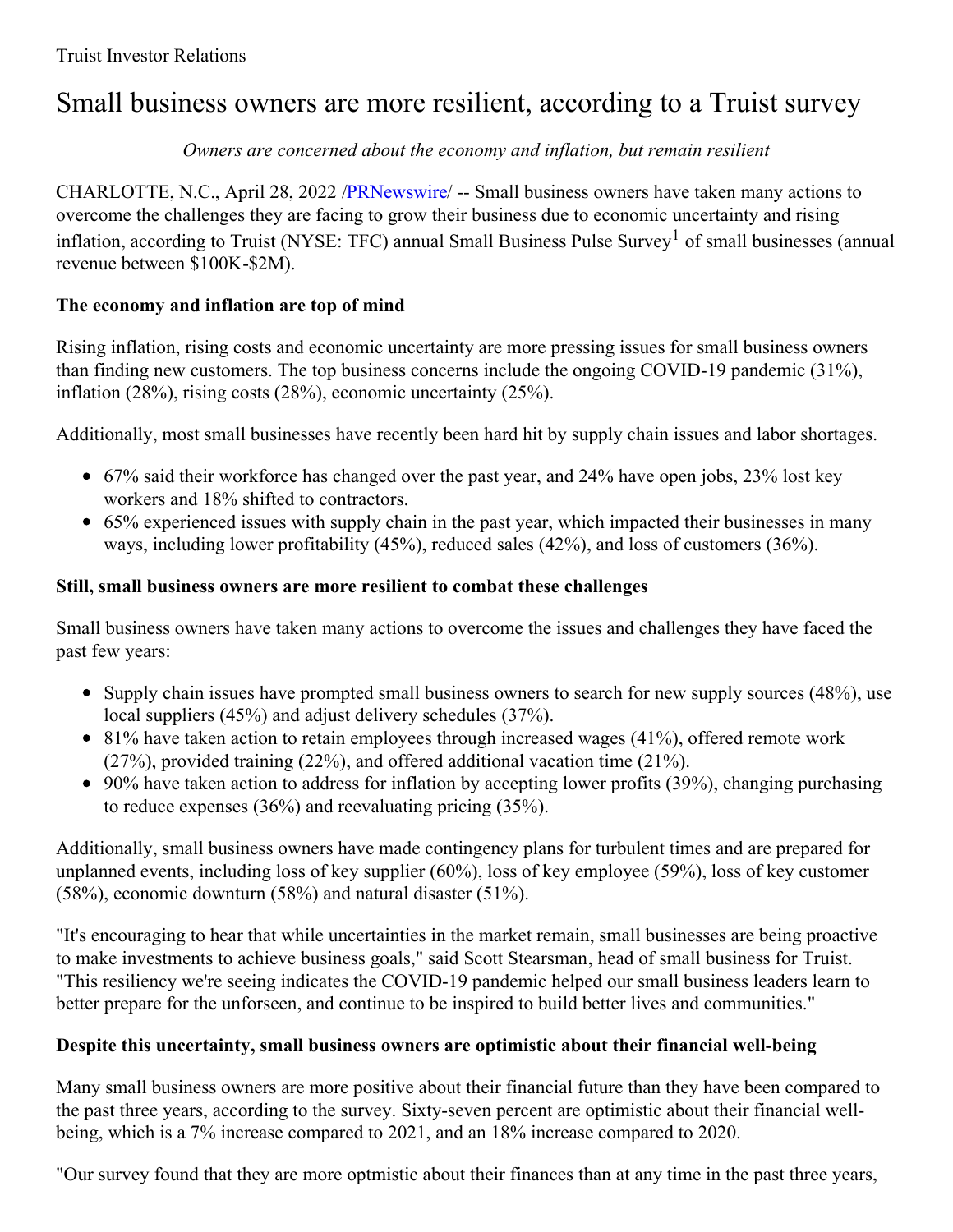# Small business owners are more resilient, according to a Truist survey

#### *Owners are concerned about the economy and inflation, but remain resilient*

CHARLOTTE, N.C., April 28, 2022 [/PRNewswire](http://www.prnewswire.com/)/ -- Small business owners have taken many actions to overcome the challenges they are facing to grow their business due to economic uncertainty and rising inflation, according to Truist (NYSE: TFC) annual Small Business Pulse Survey<sup>1</sup> of small businesses (annual revenue between \$100K-\$2M).

#### **The economy and inflation are top of mind**

Rising inflation, rising costs and economic uncertainty are more pressing issues for small business owners than finding new customers. The top business concerns include the ongoing COVID-19 pandemic (31%), inflation (28%), rising costs (28%), economic uncertainty (25%).

Additionally, most small businesses have recently been hard hit by supply chain issues and labor shortages.

- 67% said their workforce has changed over the past year, and 24% have open jobs, 23% lost key workers and 18% shifted to contractors.
- 65% experienced issues with supply chain in the past year, which impacted their businesses in many ways, including lower profitability (45%), reduced sales (42%), and loss of customers (36%).

### **Still, small business owners are more resilient to combat these challenges**

Small business owners have taken many actions to overcome the issues and challenges they have faced the past few years:

- Supply chain issues have prompted small business owners to search for new supply sources (48%), use local suppliers (45%) and adjust delivery schedules (37%).
- $\bullet$  81% have taken action to retain employees through increased wages (41%), offered remote work (27%), provided training (22%), and offered additional vacation time (21%).
- 90% have taken action to address for inflation by accepting lower profits (39%), changing purchasing to reduce expenses (36%) and reevaluating pricing (35%).

Additionally, small business owners have made contingency plans for turbulent times and are prepared for unplanned events, including loss of key supplier (60%), loss of key employee (59%), loss of key customer (58%), economic downturn (58%) and natural disaster (51%).

"It's encouraging to hear that while uncertainties in the market remain, small businesses are being proactive to make investments to achieve business goals," said Scott Stearsman, head of small business for Truist. "This resiliency we're seeing indicates the COVID-19 pandemic helped our small business leaders learn to better prepare for the unforseen, and continue to be inspired to build better lives and communities."

## **Despite this uncertainty, small business owners are optimistic about their financial well-being**

Many small business owners are more positive about their financial future than they have been compared to the past three years, according to the survey. Sixty-seven percent are optimistic about their financial wellbeing, which is a 7% increase compared to 2021, and an 18% increase compared to 2020.

"Our survey found that they are more optmistic about their finances than at any time in the past three years,